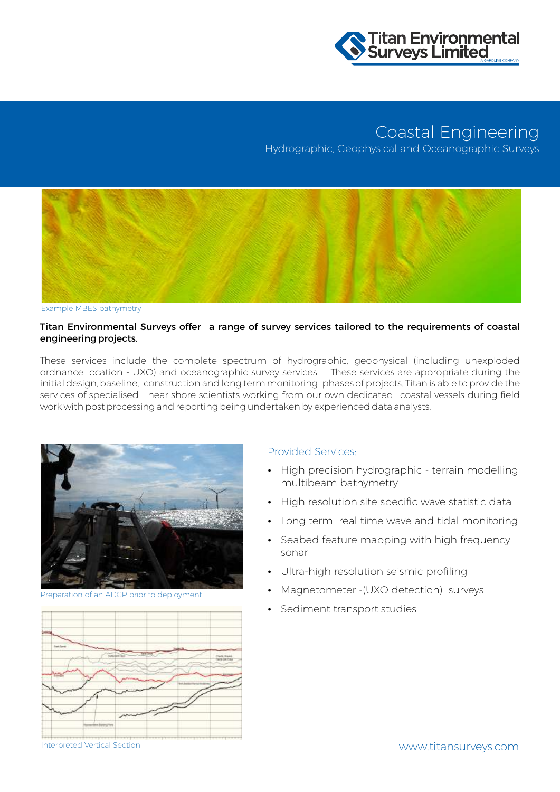

## Coastal Engineering

Hydrographic, Geophysical and Oceanographic Surveys



Example MBES bathymetry

## Titan Environmental Surveys offer a range of survey services tailored to the requirements of coastal engineering projects.

These services include the complete spectrum of hydrographic, geophysical (including unexploded ordnance location - UXO) and oceanographic survey services. These services are appropriate during the initial design, baseline, construction and long term monitoring phases of projects. Titan is able to provide the services of specialised - near shore scientists working from our own dedicated coastal vessels during field work with post processing and reporting being undertaken by experienced data analysts.



Preparation of an ADCP prior to deployment



## Provided Services:

- High precision hydrographic terrain modelling multibeam bathymetry
- High resolution site specific wave statistic data
- Long term real time wave and tidal monitoring
- Seabed feature mapping with high frequency sonar
- Ultra-high resolution seismic profiling
- Magnetometer -(UXO detection) surveys
- Sediment transport studies

Interpreted Vertical Section